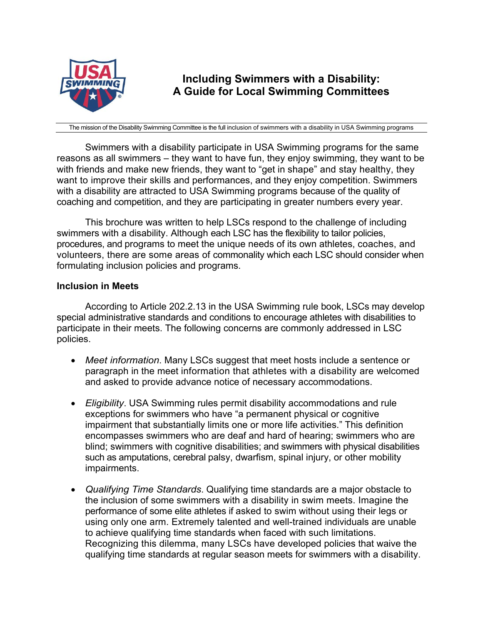

# **Including Swimmers with a Disability: A Guide for Local Swimming Committees**

The mission of the Disability Swimming Committee is the full inclusion of swimmers with a disability in USA Swimming programs

Swimmers with a disability participate in USA Swimming programs for the same reasons as all swimmers – they want to have fun, they enjoy swimming, they want to be with friends and make new friends, they want to "get in shape" and stay healthy, they want to improve their skills and performances, and they enjoy competition. Swimmers with a disability are attracted to USA Swimming programs because of the quality of coaching and competition, and they are participating in greater numbers every year.

This brochure was written to help LSCs respond to the challenge of including swimmers with a disability. Although each LSC has the flexibility to tailor policies, procedures, and programs to meet the unique needs of its own athletes, coaches, and volunteers, there are some areas of commonality which each LSC should consider when formulating inclusion policies and programs.

# **Inclusion in Meets**

According to Article 202.2.13 in the USA Swimming rule book, LSCs may develop special administrative standards and conditions to encourage athletes with disabilities to participate in their meets. The following concerns are commonly addressed in LSC policies.

- *Meet information*. Many LSCs suggest that meet hosts include a sentence or paragraph in the meet information that athletes with a disability are welcomed and asked to provide advance notice of necessary accommodations.
- *Eligibility*. USA Swimming rules permit disability accommodations and rule exceptions for swimmers who have "a permanent physical or cognitive impairment that substantially limits one or more life activities." This definition encompasses swimmers who are deaf and hard of hearing; swimmers who are blind; swimmers with cognitive disabilities; and swimmers with physical disabilities such as amputations, cerebral palsy, dwarfism, spinal injury, or other mobility impairments.
- *Qualifying Time Standards*. Qualifying time standards are a major obstacle to the inclusion of some swimmers with a disability in swim meets. Imagine the performance of some elite athletes if asked to swim without using their legs or using only one arm. Extremely talented and well-trained individuals are unable to achieve qualifying time standards when faced with such limitations. Recognizing this dilemma, many LSCs have developed policies that waive the qualifying time standards at regular season meets for swimmers with a disability.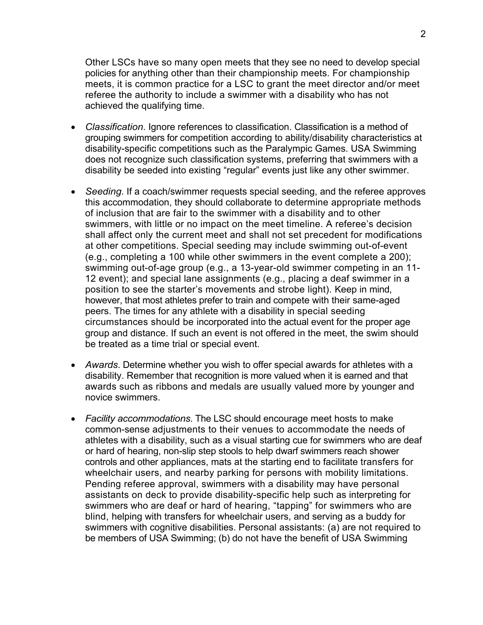Other LSCs have so many open meets that they see no need to develop special policies for anything other than their championship meets. For championship meets, it is common practice for a LSC to grant the meet director and/or meet referee the authority to include a swimmer with a disability who has not achieved the qualifying time.

- *Classification*. Ignore references to classification. Classification is a method of grouping swimmers for competition according to ability/disability characteristics at disability-specific competitions such as the Paralympic Games. USA Swimming does not recognize such classification systems, preferring that swimmers with a disability be seeded into existing "regular" events just like any other swimmer.
- *Seeding*. If a coach/swimmer requests special seeding, and the referee approves this accommodation, they should collaborate to determine appropriate methods of inclusion that are fair to the swimmer with a disability and to other swimmers, with little or no impact on the meet timeline. A referee's decision shall affect only the current meet and shall not set precedent for modifications at other competitions. Special seeding may include swimming out-of-event (e.g., completing a 100 while other swimmers in the event complete a 200); swimming out-of-age group (e.g., a 13-year-old swimmer competing in an 11- 12 event); and special lane assignments (e.g., placing a deaf swimmer in a position to see the starter's movements and strobe light). Keep in mind, however, that most athletes prefer to train and compete with their same-aged peers. The times for any athlete with a disability in special seeding circumstances should be incorporated into the actual event for the proper age group and distance. If such an event is not offered in the meet, the swim should be treated as a time trial or special event.
- *Awards*. Determine whether you wish to offer special awards for athletes with a disability. Remember that recognition is more valued when it is earned and that awards such as ribbons and medals are usually valued more by younger and novice swimmers.
- *Facility accommodations*. The LSC should encourage meet hosts to make common-sense adjustments to their venues to accommodate the needs of athletes with a disability, such as a visual starting cue for swimmers who are deaf or hard of hearing, non-slip step stools to help dwarf swimmers reach shower controls and other appliances, mats at the starting end to facilitate transfers for wheelchair users, and nearby parking for persons with mobility limitations. Pending referee approval, swimmers with a disability may have personal assistants on deck to provide disability-specific help such as interpreting for swimmers who are deaf or hard of hearing, "tapping" for swimmers who are blind, helping with transfers for wheelchair users, and serving as a buddy for swimmers with cognitive disabilities. Personal assistants: (a) are not required to be members of USA Swimming; (b) do not have the benefit of USA Swimming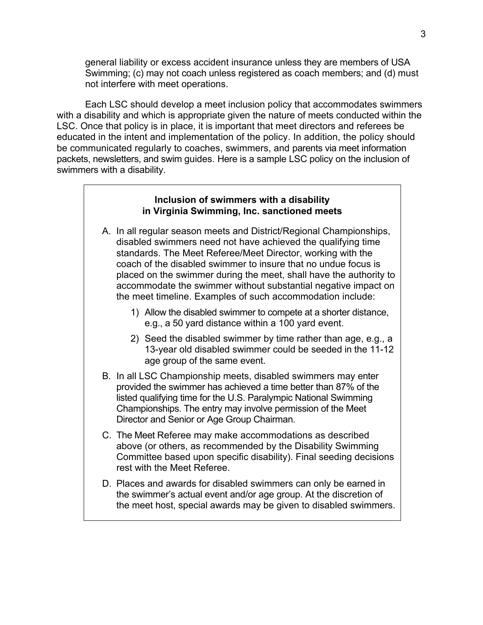general liability or excess accident insurance unless they are members of USA Swimming; (c) may not coach unless registered as coach members; and (d) must not interfere with meet operations.

Each LSC should develop a meet inclusion policy that accommodates swimmers with a disability and which is appropriate given the nature of meets conducted within the LSC. Once that policy is in place, it is important that meet directors and referees be educated in the intent and implementation of the policy. In addition, the policy should be communicated regularly to coaches, swimmers, and parents via meet information packets, newsletters, and swim guides. Here is a sample LSC policy on the inclusion of swimmers with a disability.

#### **Inclusion of swimmers with a disability in Virginia Swimming, Inc. sanctioned meets**

- A. In all regular season meets and District/Regional Championships, disabled swimmers need not have achieved the qualifying time standards. The Meet Referee/Meet Director, working with the coach of the disabled swimmer to insure that no undue focus is placed on the swimmer during the meet, shall have the authority to accommodate the swimmer without substantial negative impact on the meet timeline. Examples of such accommodation include:
	- 1) Allow the disabled swimmer to compete at a shorter distance, e.g., a 50 yard distance within a 100 yard event.
	- 2) Seed the disabled swimmer by time rather than age, e.g., a 13-year old disabled swimmer could be seeded in the 11-12 age group of the same event.
- B. In all LSC Championship meets, disabled swimmers may enter provided the swimmer has achieved a time better than 87% of the listed qualifying time for the U.S. Paralympic National Swimming Championships. The entry may involve permission of the Meet Director and Senior or Age Group Chairman.
- C. The Meet Referee may make accommodations as described above (or others, as recommended by the Disability Swimming Committee based upon specific disability). Final seeding decisions rest with the Meet Referee.
- D. Places and awards for disabled swimmers can only be earned in the swimmer's actual event and/or age group. At the discretion of the meet host, special awards may be given to disabled swimmers.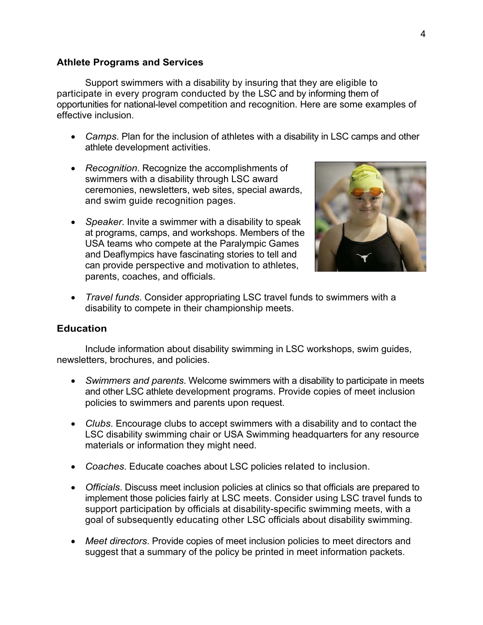### **Athlete Programs and Services**

Support swimmers with a disability by insuring that they are eligible to participate in every program conducted by the LSC and by informing them of opportunities for national-level competition and recognition. Here are some examples of effective inclusion.

- *Camps*. Plan for the inclusion of athletes with a disability in LSC camps and other athlete development activities.
- *Recognition*. Recognize the accomplishments of swimmers with a disability through LSC award ceremonies, newsletters, web sites, special awards, and swim guide recognition pages.
- *Speaker*. Invite a swimmer with a disability to speak at programs, camps, and workshops. Members of the USA teams who compete at the Paralympic Games and Deaflympics have fascinating stories to tell and can provide perspective and motivation to athletes, parents, coaches, and officials.



• *Travel funds*. Consider appropriating LSC travel funds to swimmers with a disability to compete in their championship meets.

#### **Education**

Include information about disability swimming in LSC workshops, swim guides, newsletters, brochures, and policies.

- *Swimmers and parents*. Welcome swimmers with a disability to participate in meets and other LSC athlete development programs. Provide copies of meet inclusion policies to swimmers and parents upon request.
- *Clubs*. Encourage clubs to accept swimmers with a disability and to contact the LSC disability swimming chair or USA Swimming headquarters for any resource materials or information they might need.
- *Coaches*. Educate coaches about LSC policies related to inclusion.
- *Officials*. Discuss meet inclusion policies at clinics so that officials are prepared to implement those policies fairly at LSC meets. Consider using LSC travel funds to support participation by officials at disability-specific swimming meets, with a goal of subsequently educating other LSC officials about disability swimming.
- *Meet directors*. Provide copies of meet inclusion policies to meet directors and suggest that a summary of the policy be printed in meet information packets.